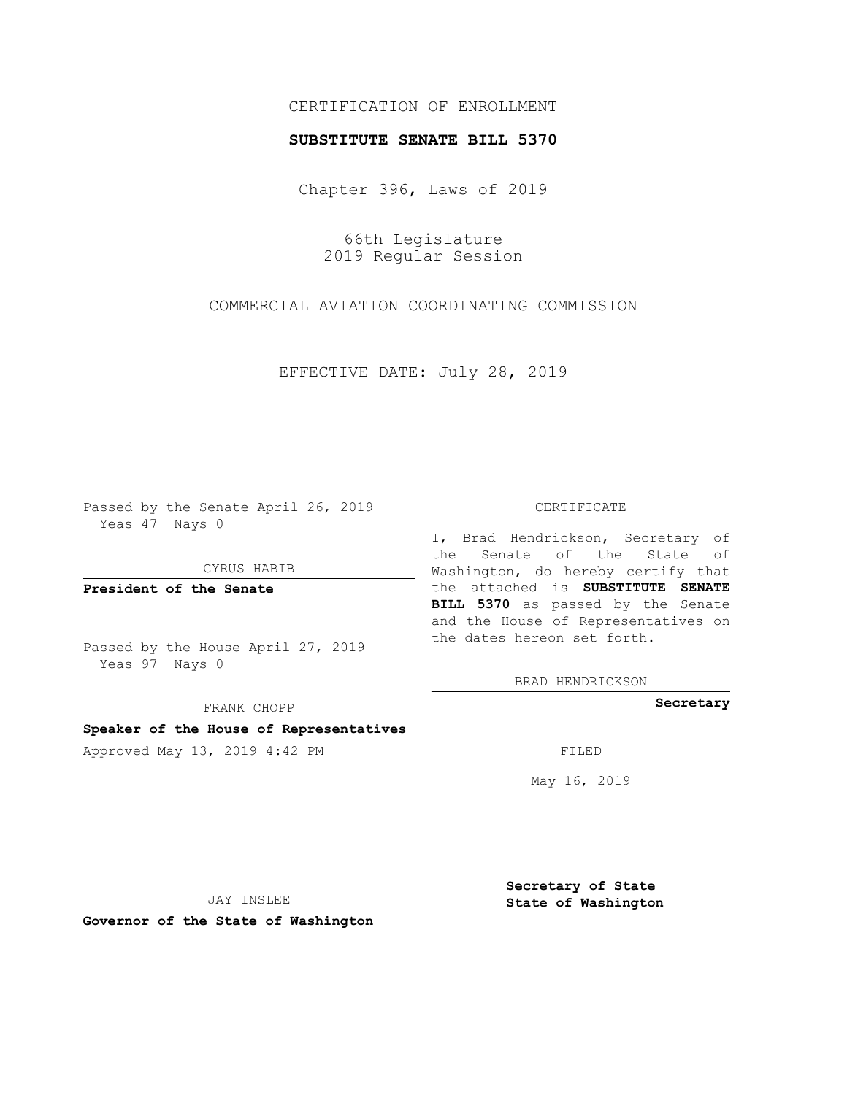## CERTIFICATION OF ENROLLMENT

## **SUBSTITUTE SENATE BILL 5370**

Chapter 396, Laws of 2019

66th Legislature 2019 Regular Session

COMMERCIAL AVIATION COORDINATING COMMISSION

EFFECTIVE DATE: July 28, 2019

Passed by the Senate April 26, 2019 Yeas 47 Nays 0

CYRUS HABIB

**President of the Senate**

Passed by the House April 27, 2019 Yeas 97 Nays 0

FRANK CHOPP

### **Speaker of the House of Representatives**

Approved May 13, 2019 4:42 PM

#### CERTIFICATE

I, Brad Hendrickson, Secretary of the Senate of the State of Washington, do hereby certify that the attached is **SUBSTITUTE SENATE BILL 5370** as passed by the Senate and the House of Representatives on the dates hereon set forth.

BRAD HENDRICKSON

**Secretary**

May 16, 2019

JAY INSLEE

**Governor of the State of Washington**

**Secretary of State State of Washington**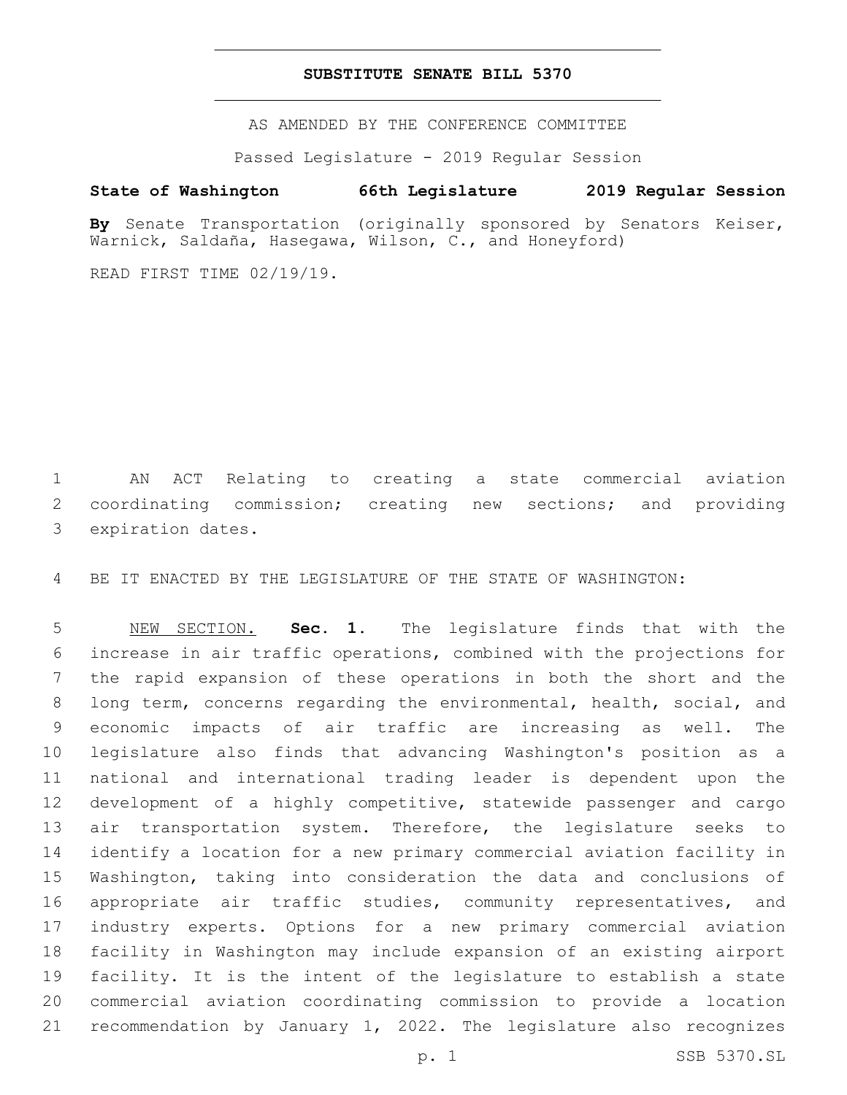## **SUBSTITUTE SENATE BILL 5370**

AS AMENDED BY THE CONFERENCE COMMITTEE

Passed Legislature - 2019 Regular Session

# **State of Washington 66th Legislature 2019 Regular Session**

**By** Senate Transportation (originally sponsored by Senators Keiser, Warnick, Saldaña, Hasegawa, Wilson, C., and Honeyford)

READ FIRST TIME 02/19/19.

 AN ACT Relating to creating a state commercial aviation coordinating commission; creating new sections; and providing 3 expiration dates.

BE IT ENACTED BY THE LEGISLATURE OF THE STATE OF WASHINGTON:

 NEW SECTION. **Sec. 1.** The legislature finds that with the increase in air traffic operations, combined with the projections for the rapid expansion of these operations in both the short and the long term, concerns regarding the environmental, health, social, and economic impacts of air traffic are increasing as well. The legislature also finds that advancing Washington's position as a national and international trading leader is dependent upon the development of a highly competitive, statewide passenger and cargo air transportation system. Therefore, the legislature seeks to identify a location for a new primary commercial aviation facility in Washington, taking into consideration the data and conclusions of appropriate air traffic studies, community representatives, and industry experts. Options for a new primary commercial aviation facility in Washington may include expansion of an existing airport facility. It is the intent of the legislature to establish a state commercial aviation coordinating commission to provide a location recommendation by January 1, 2022. The legislature also recognizes

p. 1 SSB 5370.SL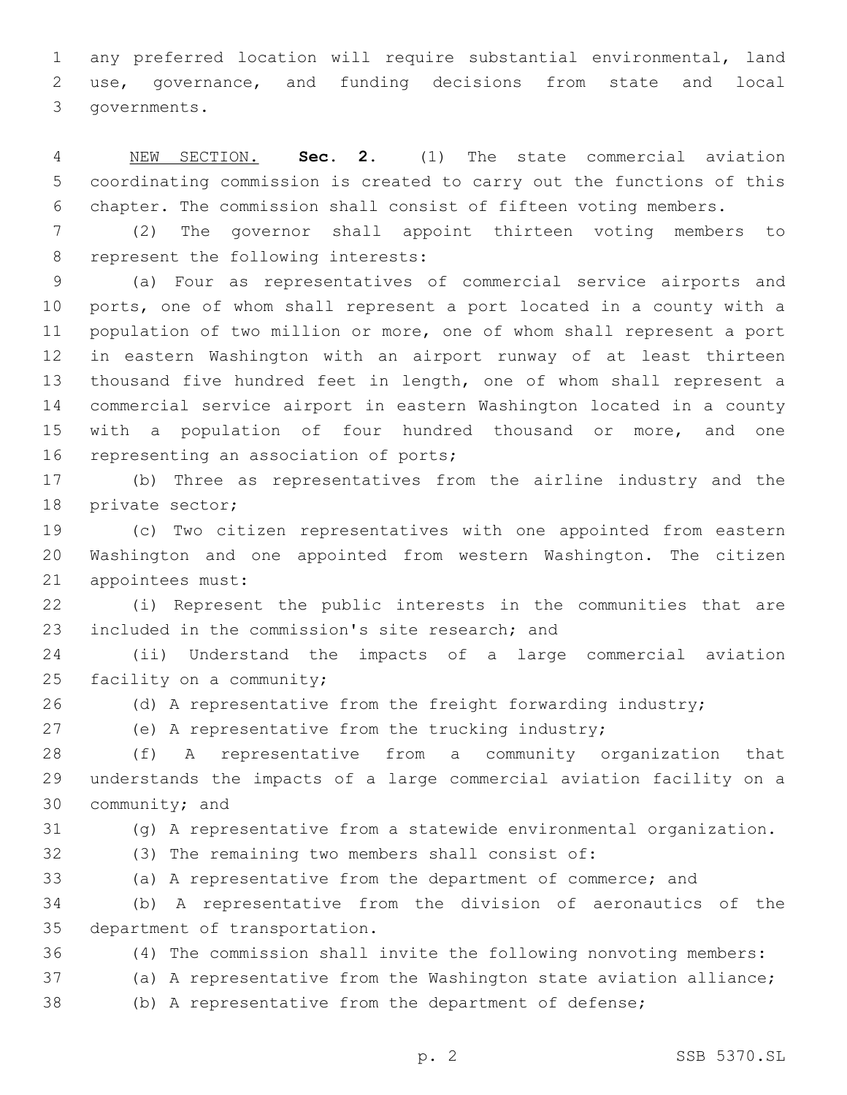any preferred location will require substantial environmental, land use, governance, and funding decisions from state and local 3 governments.

 NEW SECTION. **Sec. 2.** (1) The state commercial aviation coordinating commission is created to carry out the functions of this chapter. The commission shall consist of fifteen voting members.

 (2) The governor shall appoint thirteen voting members to 8 represent the following interests:

 (a) Four as representatives of commercial service airports and ports, one of whom shall represent a port located in a county with a population of two million or more, one of whom shall represent a port in eastern Washington with an airport runway of at least thirteen thousand five hundred feet in length, one of whom shall represent a commercial service airport in eastern Washington located in a county 15 with a population of four hundred thousand or more, and one 16 representing an association of ports;

 (b) Three as representatives from the airline industry and the 18 private sector;

 (c) Two citizen representatives with one appointed from eastern Washington and one appointed from western Washington. The citizen 21 appointees must:

 (i) Represent the public interests in the communities that are 23 included in the commission's site research; and

 (ii) Understand the impacts of a large commercial aviation 25 facility on a community;

26 (d) A representative from the freight forwarding industry;

(e) A representative from the trucking industry;

 (f) A representative from a community organization that understands the impacts of a large commercial aviation facility on a 30 community; and

(g) A representative from a statewide environmental organization.

(3) The remaining two members shall consist of:

(a) A representative from the department of commerce; and

 (b) A representative from the division of aeronautics of the 35 department of transportation.

- (4) The commission shall invite the following nonvoting members:
- (a) A representative from the Washington state aviation alliance;
- (b) A representative from the department of defense;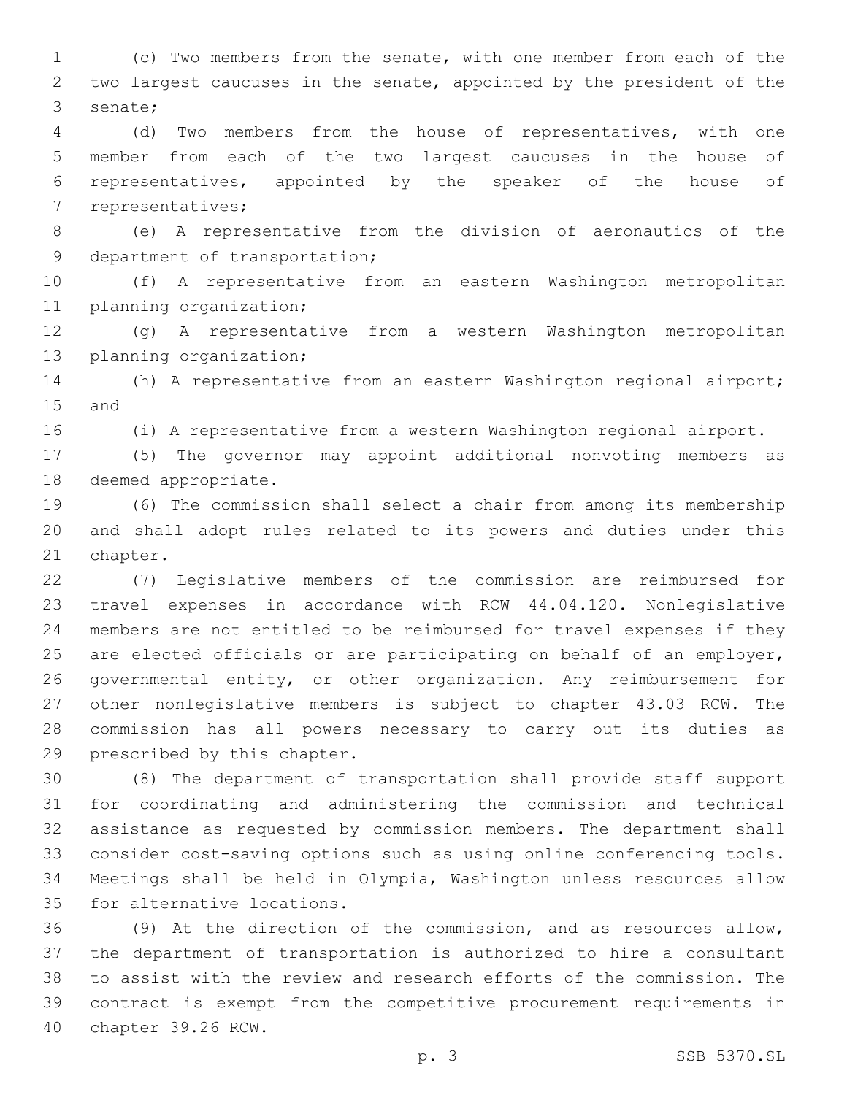(c) Two members from the senate, with one member from each of the two largest caucuses in the senate, appointed by the president of the 3 senate;

 (d) Two members from the house of representatives, with one member from each of the two largest caucuses in the house of representatives, appointed by the speaker of the house of 7 representatives;

 (e) A representative from the division of aeronautics of the 9 department of transportation;

 (f) A representative from an eastern Washington metropolitan 11 planning organization;

 (g) A representative from a western Washington metropolitan 13 planning organization;

 (h) A representative from an eastern Washington regional airport; 15 and

(i) A representative from a western Washington regional airport.

 (5) The governor may appoint additional nonvoting members as 18 deemed appropriate.

 (6) The commission shall select a chair from among its membership and shall adopt rules related to its powers and duties under this 21 chapter.

 (7) Legislative members of the commission are reimbursed for travel expenses in accordance with RCW 44.04.120. Nonlegislative members are not entitled to be reimbursed for travel expenses if they are elected officials or are participating on behalf of an employer, governmental entity, or other organization. Any reimbursement for other nonlegislative members is subject to chapter 43.03 RCW. The commission has all powers necessary to carry out its duties as 29 prescribed by this chapter.

 (8) The department of transportation shall provide staff support for coordinating and administering the commission and technical assistance as requested by commission members. The department shall consider cost-saving options such as using online conferencing tools. Meetings shall be held in Olympia, Washington unless resources allow 35 for alternative locations.

 (9) At the direction of the commission, and as resources allow, the department of transportation is authorized to hire a consultant to assist with the review and research efforts of the commission. The contract is exempt from the competitive procurement requirements in 40 chapter 39.26 RCW.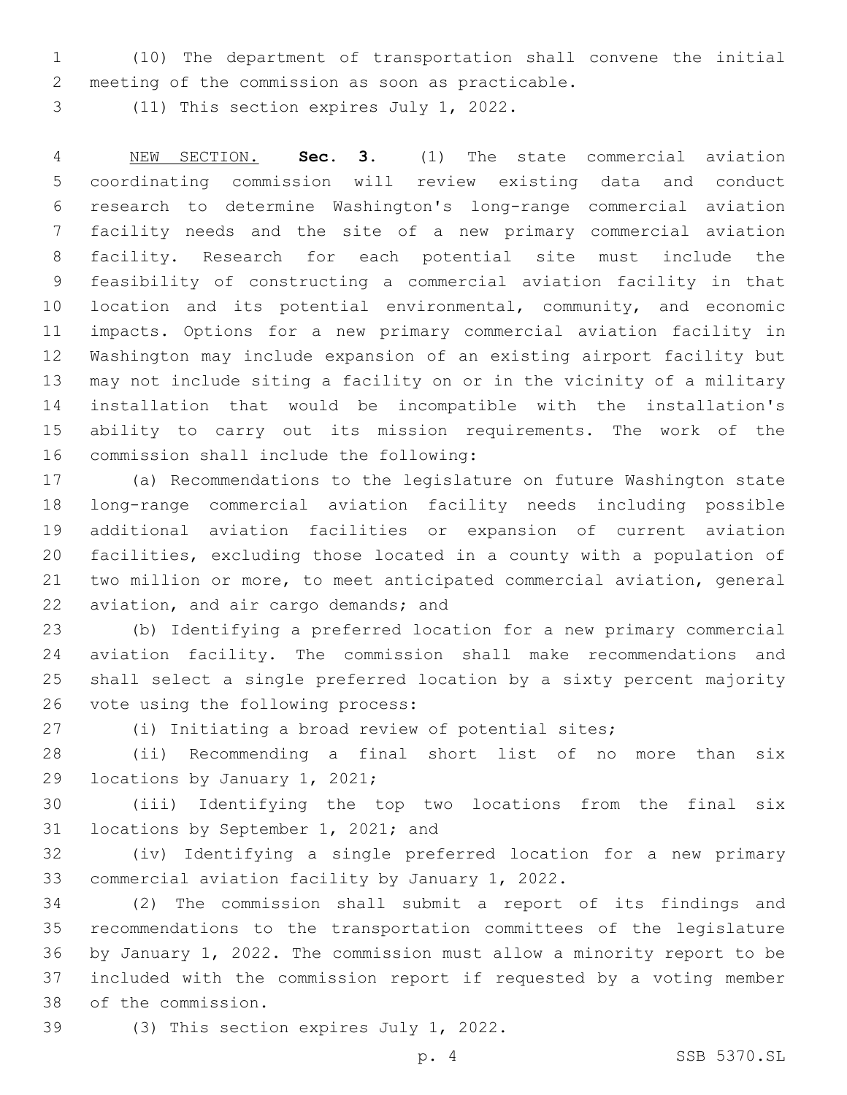(10) The department of transportation shall convene the initial 2 meeting of the commission as soon as practicable.

3 (11) This section expires July 1, 2022.

 NEW SECTION. **Sec. 3.** (1) The state commercial aviation coordinating commission will review existing data and conduct research to determine Washington's long-range commercial aviation facility needs and the site of a new primary commercial aviation facility. Research for each potential site must include the feasibility of constructing a commercial aviation facility in that location and its potential environmental, community, and economic impacts. Options for a new primary commercial aviation facility in Washington may include expansion of an existing airport facility but may not include siting a facility on or in the vicinity of a military installation that would be incompatible with the installation's ability to carry out its mission requirements. The work of the commission shall include the following:

 (a) Recommendations to the legislature on future Washington state long-range commercial aviation facility needs including possible additional aviation facilities or expansion of current aviation facilities, excluding those located in a county with a population of two million or more, to meet anticipated commercial aviation, general 22 aviation, and air cargo demands; and

 (b) Identifying a preferred location for a new primary commercial aviation facility. The commission shall make recommendations and shall select a single preferred location by a sixty percent majority 26 vote using the following process:

(i) Initiating a broad review of potential sites;

 (ii) Recommending a final short list of no more than six 29 locations by January 1, 2021;

 (iii) Identifying the top two locations from the final six 31 locations by September 1, 2021; and

 (iv) Identifying a single preferred location for a new primary 33 commercial aviation facility by January 1, 2022.

 (2) The commission shall submit a report of its findings and recommendations to the transportation committees of the legislature by January 1, 2022. The commission must allow a minority report to be included with the commission report if requested by a voting member of the commission.38

39 (3) This section expires July 1, 2022.